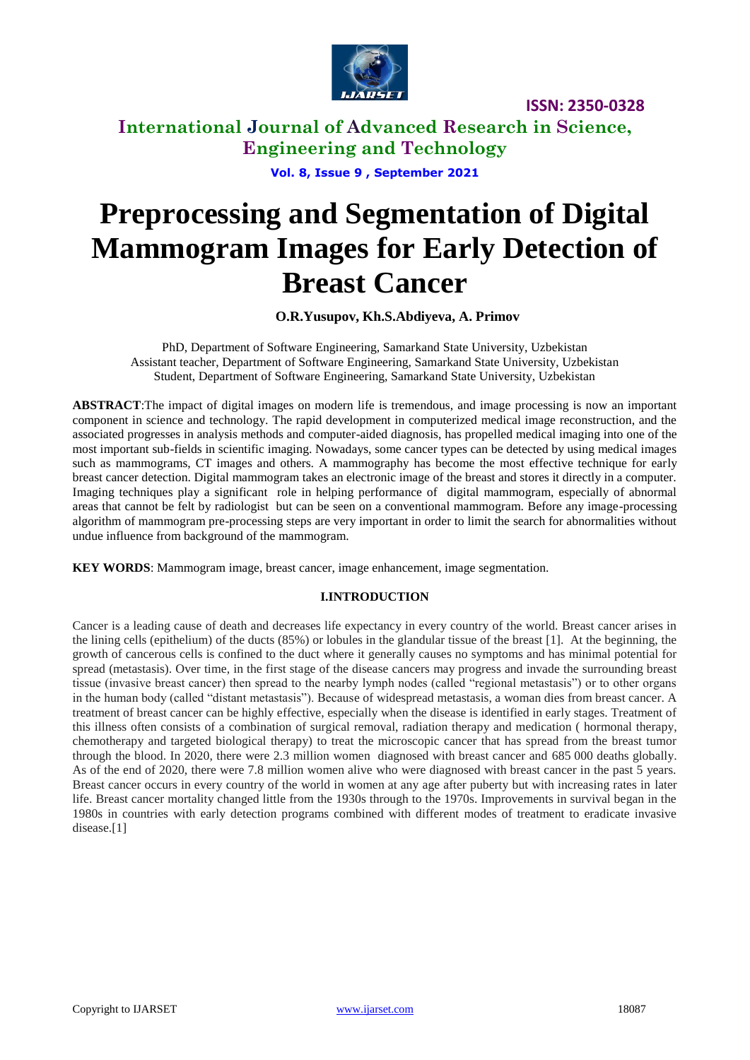

# **International Journal of Advanced Research in Science, Engineering and Technology**

**Vol. 8, Issue 9 , September 2021**

# **Preprocessing and Segmentation of Digital Mammogram Images for Early Detection of Breast Cancer**

**O.R.Yusupov, Kh.S.Abdiyeva, A. Primov**

PhD, Department of Software Engineering, Samarkand State University, Uzbekistan Assistant teacher, Department of Software Engineering, Samarkand State University, Uzbekistan Student, Department of Software Engineering, Samarkand State University, Uzbekistan

**ABSTRACT**:The impact of digital images on modern life is tremendous, and image processing is now an important component in science and technology. The rapid development in computerized medical image reconstruction, and the associated progresses in analysis methods and computer-aided diagnosis, has propelled medical imaging into one of the most important sub-fields in scientific imaging. Nowadays, some cancer types can be detected by using medical images such as mammograms, CT images and others. A mammography has become the most effective technique for early breast cancer detection. Digital mammogram takes an electronic image of the breast and stores it directly in a computer. Imaging techniques play a significant role in helping performance of digital mammogram, especially of abnormal areas that cannot be felt by radiologist but can be seen on a conventional mammogram. Before any image-processing algorithm of mammogram pre-processing steps are very important in order to limit the search for abnormalities without undue influence from background of the mammogram.

**KEY WORDS**: Mammogram image, breast cancer, image enhancement, image segmentation.

## **I.INTRODUCTION**

Cancer is a leading cause of death and decreases life expectancy in every country of the world. Breast cancer arises in the lining cells (epithelium) of the ducts (85%) or lobules in the glandular tissue of the breast [1]. At the beginning, the growth of cancerous cells is confined to the duct where it generally causes no symptoms and has minimal potential for spread (metastasis). Over time, in the first stage of the disease cancers may progress and invade the surrounding breast tissue (invasive breast cancer) then spread to the nearby lymph nodes (called "regional metastasis") or to other organs in the human body (called "distant metastasis"). Because of widespread metastasis, a woman dies from breast cancer. A treatment of breast cancer can be highly effective, especially when the disease is identified in early stages. Treatment of this illness often consists of a combination of surgical removal, radiation therapy and medication ( hormonal therapy, chemotherapy and targeted biological therapy) to treat the microscopic cancer that has spread from the breast tumor through the blood. In 2020, there were 2.3 million women diagnosed with breast cancer and 685 000 deaths globally. As of the end of 2020, there were 7.8 million women alive who were diagnosed with breast cancer in the past 5 years. Breast cancer occurs in every country of the world in women at any age after puberty but with increasing rates in later life. Breast cancer mortality changed little from the 1930s through to the 1970s. Improvements in survival began in the 1980s in countries with early detection programs combined with different modes of treatment to eradicate invasive disease.[1]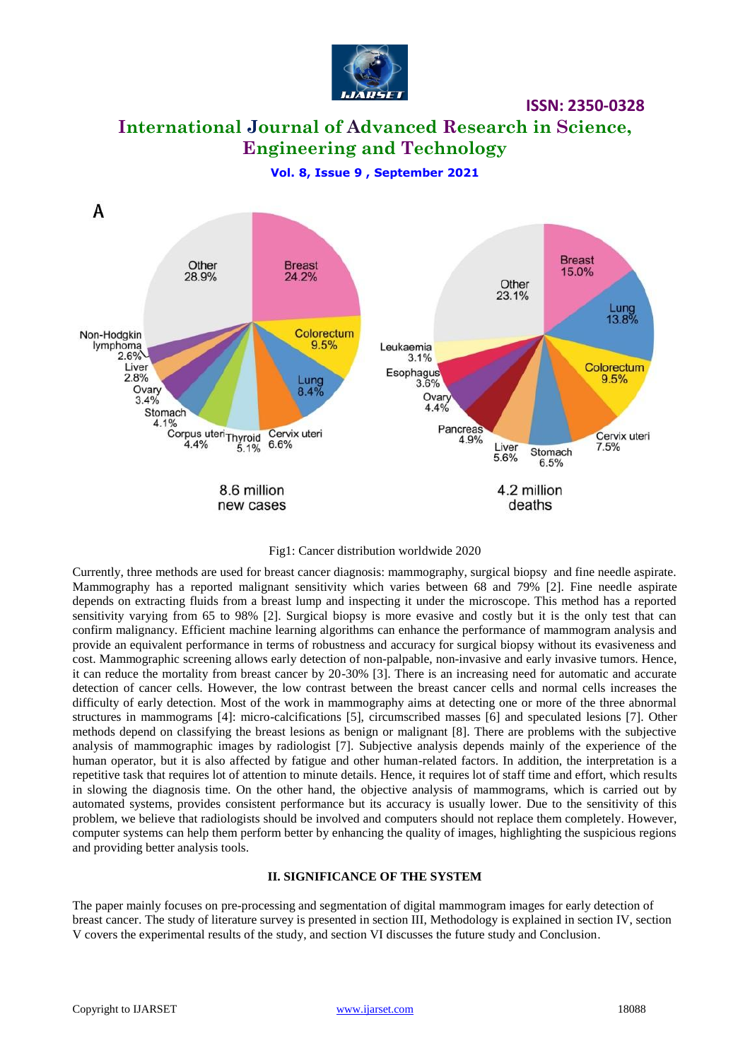

**International Journal of Advanced Research in Science, Engineering and Technology**

**Vol. 8, Issue 9 , September 2021**



Fig1: Cancer distribution worldwide 2020

Currently, three methods are used for breast cancer diagnosis: mammography, surgical biopsy and fine needle aspirate. Mammography has a reported malignant sensitivity which varies between 68 and 79% [2]. Fine needle aspirate depends on extracting fluids from a breast lump and inspecting it under the microscope. This method has a reported sensitivity varying from 65 to 98% [2]. Surgical biopsy is more evasive and costly but it is the only test that can confirm malignancy. Efficient machine learning algorithms can enhance the performance of mammogram analysis and provide an equivalent performance in terms of robustness and accuracy for surgical biopsy without its evasiveness and cost. Mammographic screening allows early detection of non-palpable, non-invasive and early invasive tumors. Hence, it can reduce the mortality from breast cancer by 20-30% [3]. There is an increasing need for automatic and accurate detection of cancer cells. However, the low contrast between the breast cancer cells and normal cells increases the difficulty of early detection. Most of the work in mammography aims at detecting one or more of the three abnormal structures in mammograms [4]: micro-calcifications [5], circumscribed masses [6] and speculated lesions [7]. Other methods depend on classifying the breast lesions as benign or malignant [8]. There are problems with the subjective analysis of mammographic images by radiologist [7]. Subjective analysis depends mainly of the experience of the human operator, but it is also affected by fatigue and other human-related factors. In addition, the interpretation is a repetitive task that requires lot of attention to minute details. Hence, it requires lot of staff time and effort, which results in slowing the diagnosis time. On the other hand, the objective analysis of mammograms, which is carried out by automated systems, provides consistent performance but its accuracy is usually lower. Due to the sensitivity of this problem, we believe that radiologists should be involved and computers should not replace them completely. However, computer systems can help them perform better by enhancing the quality of images, highlighting the suspicious regions and providing better analysis tools.

#### **II. SIGNIFICANCE OF THE SYSTEM**

The paper mainly focuses on pre-processing and segmentation of digital mammogram images for early detection of breast cancer. The study of literature survey is presented in section III, Methodology is explained in section IV, section V covers the experimental results of the study, and section VI discusses the future study and Conclusion.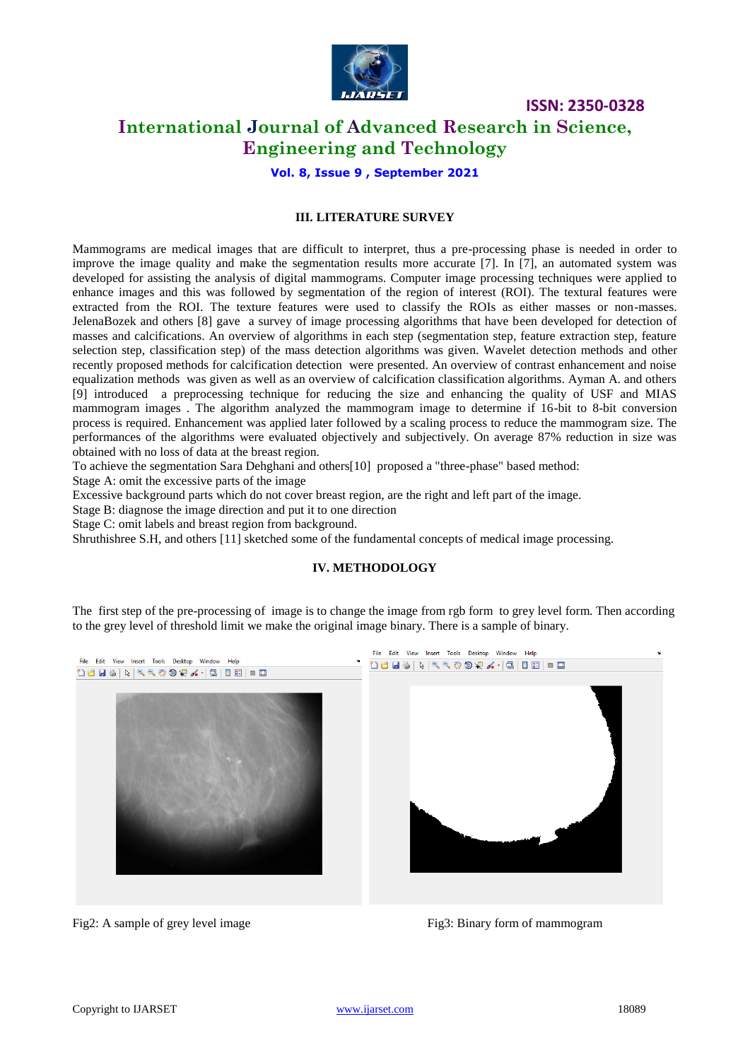

## **International Journal of Advanced Research in Science, Engineering and Technology**

**Vol. 8, Issue 9 , September 2021**

### **III. LITERATURE SURVEY**

Mammograms are medical images that are difficult to interpret, thus a pre-processing phase is needed in order to improve the image quality and make the segmentation results more accurate [7]. In [7], an automated system was developed for assisting the analysis of digital mammograms. Computer image processing techniques were applied to enhance images and this was followed by segmentation of the region of interest (ROI). The textural features were extracted from the ROI. The texture features were used to classify the ROIs as either masses or non-masses. JelenaBozek and others [8] gave a survey of image processing algorithms that have been developed for detection of masses and calcifications. An overview of algorithms in each step (segmentation step, feature extraction step, feature selection step, classification step) of the mass detection algorithms was given. Wavelet detection methods and other recently proposed methods for calcification detection were presented. An overview of contrast enhancement and noise equalization methods was given as well as an overview of calcification classification algorithms. Ayman A. and others [9] introduced a preprocessing technique for reducing the size and enhancing the quality of USF and MIAS mammogram images . The algorithm analyzed the mammogram image to determine if 16-bit to 8-bit conversion process is required. Enhancement was applied later followed by a scaling process to reduce the mammogram size. The performances of the algorithms were evaluated objectively and subjectively. On average 87% reduction in size was obtained with no loss of data at the breast region.

To achieve the segmentation Sara Dehghani and others[10] proposed a "three-phase" based method:

Stage A: omit the excessive parts of the image

Excessive background parts which do not cover breast region, are the right and left part of the image.

Stage B: diagnose the image direction and put it to one direction

Stage C: omit labels and breast region from background.

Shruthishree S.H, and others [11] sketched some of the fundamental concepts of medical image processing.

## **IV. METHODOLOGY**

The first step of the pre-processing of image is to change the image from rgb form to grey level form. Then according to the grey level of threshold limit we make the original image binary. There is a sample of binary.



Fig2: A sample of grey level image Fig3: Binary form of mammogram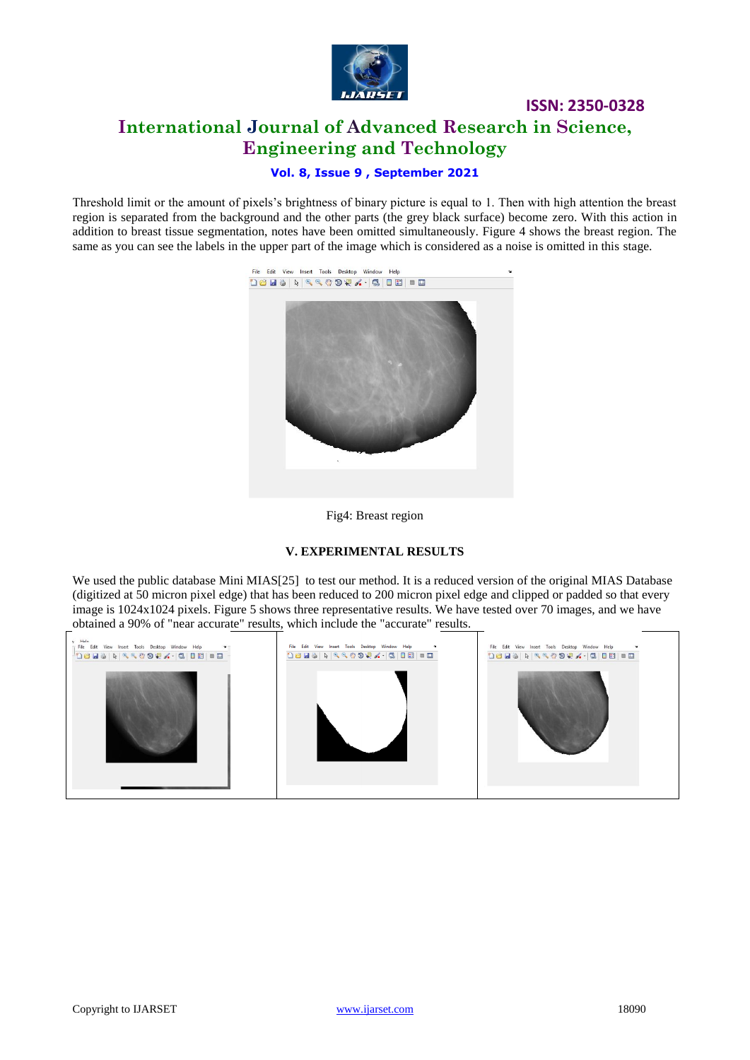

# **ISSN: 2350-0328 International Journal of Advanced Research in Science, Engineering and Technology**

## **Vol. 8, Issue 9 , September 2021**

Threshold limit or the amount of pixels's brightness of binary picture is equal to 1. Then with high attention the breast region is separated from the background and the other parts (the grey black surface) become zero. With this action in addition to breast tissue segmentation, notes have been omitted simultaneously. Figure 4 shows the breast region. The same as you can see the labels in the upper part of the image which is considered as a noise is omitted in this stage.



#### Fig4: Breast region

#### **V. EXPERIMENTAL RESULTS**

We used the public database Mini MIAS[25] to test our method. It is a reduced version of the original MIAS Database (digitized at 50 micron pixel edge) that has been reduced to 200 micron pixel edge and clipped or padded so that every image is 1024x1024 pixels. Figure 5 shows three representative results. We have tested over 70 images, and we have obtained a 90% of "near accurate" results, which include the "accurate" results.

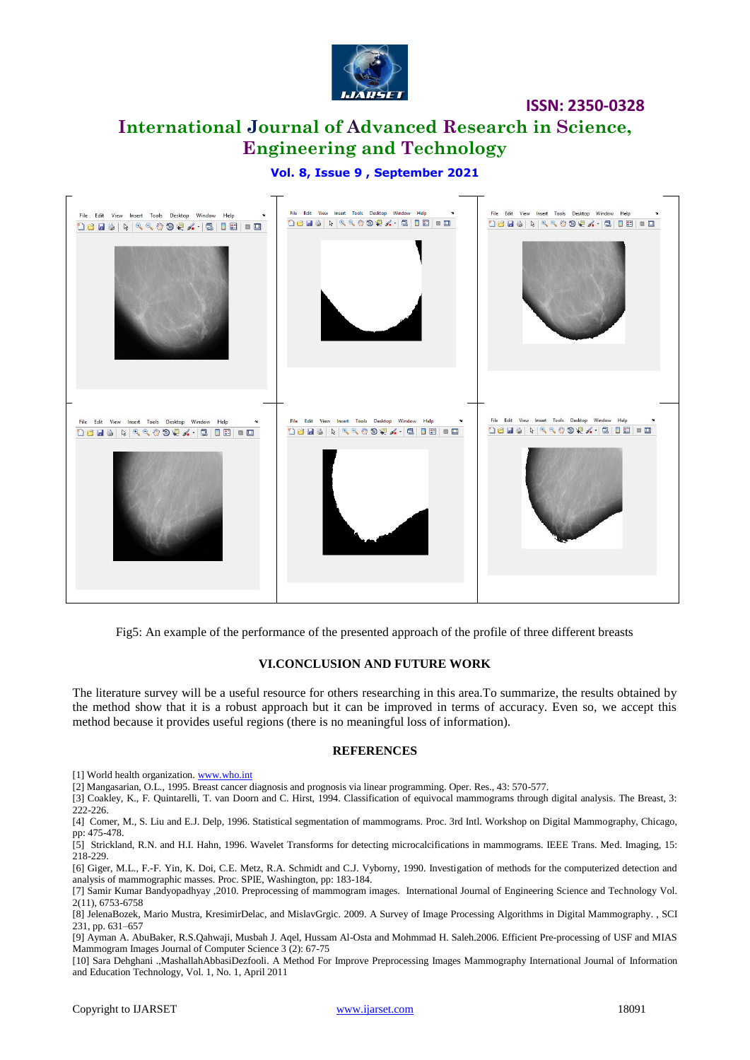

# **International Journal of Advanced Research in Science, Engineering and Technology**

## **Vol. 8, Issue 9 , September 2021**



Fig5: An example of the performance of the presented approach of the profile of three different breasts

#### **VI.CONCLUSION AND FUTURE WORK**

The literature survey will be a useful resource for others researching in this area.To summarize, the results obtained by the method show that it is a robust approach but it can be improved in terms of accuracy. Even so, we accept this method because it provides useful regions (there is no meaningful loss of information).

#### **REFERENCES**

[1] World health organization. [www.who.int](http://www.who.int/)

[2] Mangasarian, O.L., 1995. Breast cancer diagnosis and prognosis via linear programming. Oper. Res., 43: 570-577.

[3] Coakley, K., F. Quintarelli, T. van Doorn and C. Hirst, 1994. Classification of equivocal mammograms through digital analysis. The Breast, 3: 222-226.

[4] Comer, M., S. Liu and E.J. Delp, 1996. Statistical segmentation of mammograms. Proc. 3rd Intl. Workshop on Digital Mammography, Chicago, pp: 475-478.

[5] Strickland, R.N. and H.I. Hahn, 1996. Wavelet Transforms for detecting microcalcifications in mammograms. IEEE Trans. Med. Imaging, 15: 218-229.

[6] Giger, M.L., F.-F. Yin, K. Doi, C.E. Metz, R.A. Schmidt and C.J. Vyborny, 1990. Investigation of methods for the computerized detection and analysis of mammographic masses. Proc. SPIE, Washington, pp: 183-184.

[10] Sara Dehghani .,MashallahAbbasiDezfooli. A Method For Improve Preprocessing Images Mammography International Journal of Information and Education Technology, Vol. 1, No. 1, April 2011

<sup>[7]</sup> Samir Kumar Bandyopadhyay ,2010. Preprocessing of mammogram images. International Journal of Engineering Science and Technology Vol. 2(11), 6753-6758

<sup>[8]</sup> JelenaBozek, Mario Mustra, KresimirDelac, and MislavGrgic. 2009. A Survey of Image Processing Algorithms in Digital Mammography. , SCI 231, pp. 631–657

<sup>[9]</sup> Ayman A. AbuBaker, R.S.Qahwaji, Musbah J. Aqel, Hussam Al-Osta and Mohmmad H. Saleh.2006. Efficient Pre-processing of USF and MIAS Mammogram Images Journal of Computer Science 3 (2): 67-75